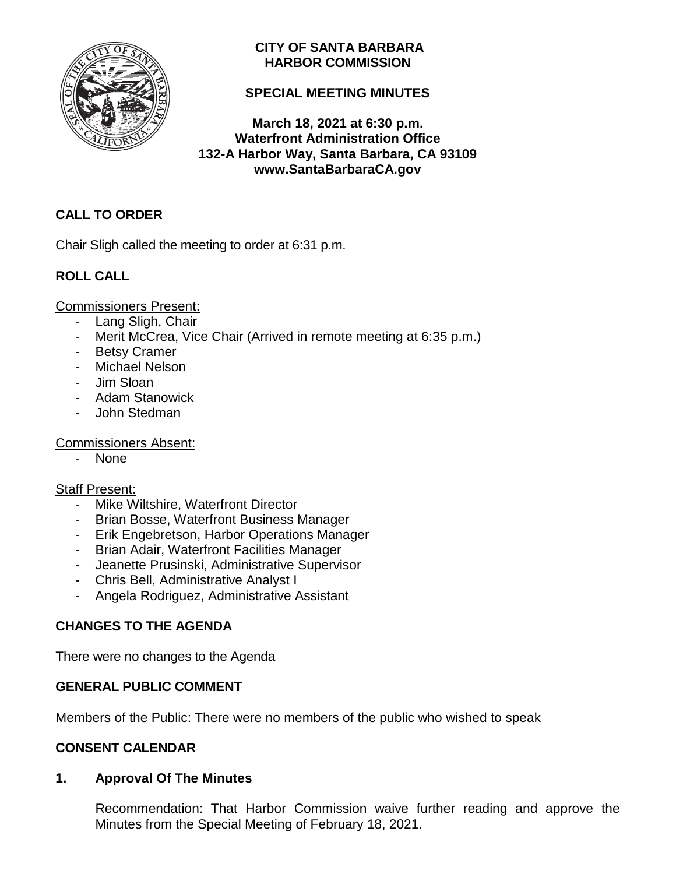

## **CITY OF SANTA BARBARA HARBOR COMMISSION**

## **SPECIAL MEETING MINUTES**

**March 18, 2021 at 6:30 p.m. Waterfront Administration Office 132-A Harbor Way, Santa Barbara, CA 93109 www.SantaBarbaraCA.gov**

## **CALL TO ORDER**

Chair Sligh called the meeting to order at 6:31 p.m.

# **ROLL CALL**

Commissioners Present:

- Lang Sligh, Chair
- Merit McCrea, Vice Chair (Arrived in remote meeting at 6:35 p.m.)
- Betsy Cramer
- Michael Nelson
- Jim Sloan
- Adam Stanowick
- John Stedman

## Commissioners Absent:

- None

## Staff Present:

- Mike Wiltshire, Waterfront Director
- Brian Bosse, Waterfront Business Manager
- Erik Engebretson, Harbor Operations Manager
- Brian Adair, Waterfront Facilities Manager
- Jeanette Prusinski, Administrative Supervisor
- Chris Bell, Administrative Analyst I
- Angela Rodriguez, Administrative Assistant

# **CHANGES TO THE AGENDA**

There were no changes to the Agenda

## **GENERAL PUBLIC COMMENT**

Members of the Public: There were no members of the public who wished to speak

## **CONSENT CALENDAR**

## **1. Approval Of The Minutes**

Recommendation: That Harbor Commission waive further reading and approve the Minutes from the Special Meeting of February 18, 2021.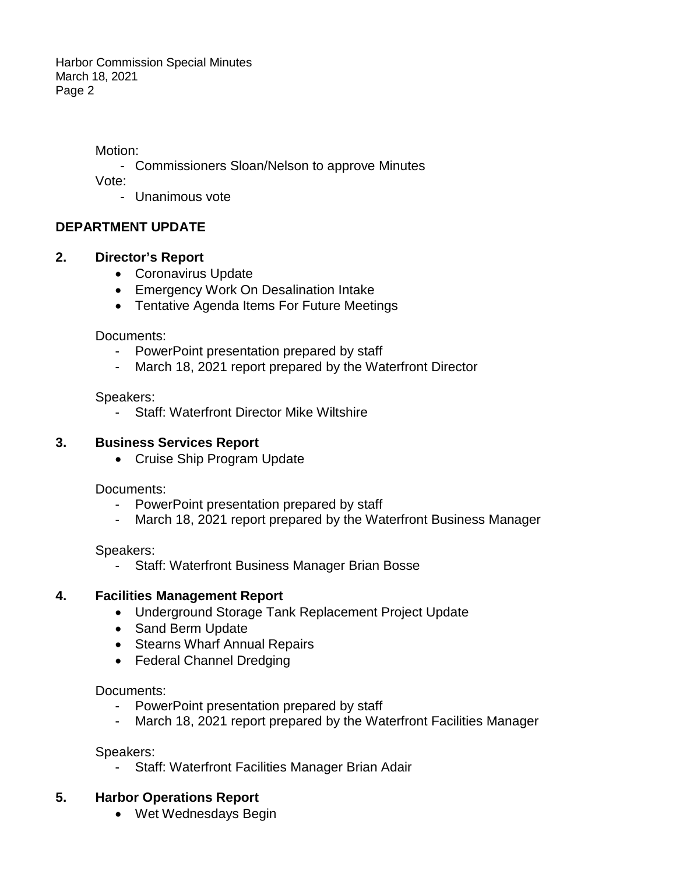Motion:

- Commissioners Sloan/Nelson to approve Minutes

Vote:

- Unanimous vote

## **DEPARTMENT UPDATE**

### **2. Director's Report**

- Coronavirus Update
- Emergency Work On Desalination Intake
- Tentative Agenda Items For Future Meetings

Documents:

- PowerPoint presentation prepared by staff
- March 18, 2021 report prepared by the Waterfront Director

Speakers:

- Staff: Waterfront Director Mike Wiltshire

### **3. Business Services Report**

• Cruise Ship Program Update

Documents:

- PowerPoint presentation prepared by staff
- March 18, 2021 report prepared by the Waterfront Business Manager

Speakers:

Staff: Waterfront Business Manager Brian Bosse

### **4. Facilities Management Report**

- Underground Storage Tank Replacement Project Update
- Sand Berm Update
- Stearns Wharf Annual Repairs
- Federal Channel Dredging

Documents:

- PowerPoint presentation prepared by staff
- March 18, 2021 report prepared by the Waterfront Facilities Manager

Speakers:

Staff: Waterfront Facilities Manager Brian Adair

### **5. Harbor Operations Report**

• Wet Wednesdays Begin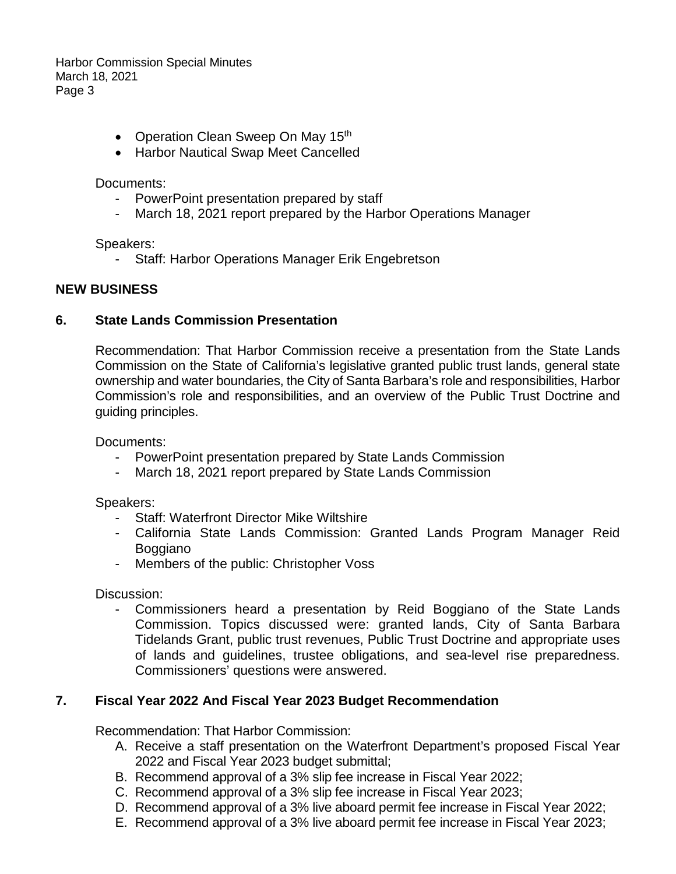- Operation Clean Sweep On May 15<sup>th</sup>
- Harbor Nautical Swap Meet Cancelled

Documents:

- PowerPoint presentation prepared by staff
- March 18, 2021 report prepared by the Harbor Operations Manager

Speakers:

- Staff: Harbor Operations Manager Erik Engebretson

#### **NEW BUSINESS**

#### **6. State Lands Commission Presentation**

Recommendation: That Harbor Commission receive a presentation from the State Lands Commission on the State of California's legislative granted public trust lands, general state ownership and water boundaries, the City of Santa Barbara's role and responsibilities, Harbor Commission's role and responsibilities, and an overview of the Public Trust Doctrine and guiding principles.

Documents:

- PowerPoint presentation prepared by State Lands Commission
- March 18, 2021 report prepared by State Lands Commission

Speakers:

- Staff: Waterfront Director Mike Wiltshire
- California State Lands Commission: Granted Lands Program Manager Reid Boggiano
- Members of the public: Christopher Voss

Discussion:

Commissioners heard a presentation by Reid Boggiano of the State Lands Commission. Topics discussed were: granted lands, City of Santa Barbara Tidelands Grant, public trust revenues, Public Trust Doctrine and appropriate uses of lands and guidelines, trustee obligations, and sea-level rise preparedness. Commissioners' questions were answered.

### **7. Fiscal Year 2022 And Fiscal Year 2023 Budget Recommendation**

Recommendation: That Harbor Commission:

- A. Receive a staff presentation on the Waterfront Department's proposed Fiscal Year 2022 and Fiscal Year 2023 budget submittal;
- B. Recommend approval of a 3% slip fee increase in Fiscal Year 2022;
- C. Recommend approval of a 3% slip fee increase in Fiscal Year 2023;
- D. Recommend approval of a 3% live aboard permit fee increase in Fiscal Year 2022;
- E. Recommend approval of a 3% live aboard permit fee increase in Fiscal Year 2023;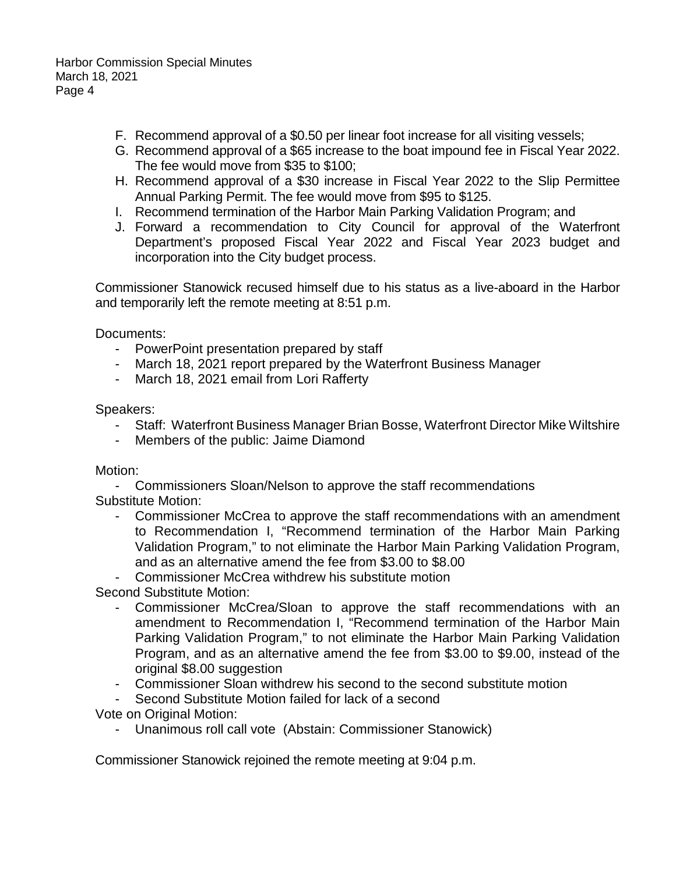- F. Recommend approval of a \$0.50 per linear foot increase for all visiting vessels;
- G. Recommend approval of a \$65 increase to the boat impound fee in Fiscal Year 2022. The fee would move from \$35 to \$100;
- H. Recommend approval of a \$30 increase in Fiscal Year 2022 to the Slip Permittee Annual Parking Permit. The fee would move from \$95 to \$125.
- I. Recommend termination of the Harbor Main Parking Validation Program; and
- J. Forward a recommendation to City Council for approval of the Waterfront Department's proposed Fiscal Year 2022 and Fiscal Year 2023 budget and incorporation into the City budget process.

Commissioner Stanowick recused himself due to his status as a live-aboard in the Harbor and temporarily left the remote meeting at 8:51 p.m.

Documents:

- PowerPoint presentation prepared by staff
- March 18, 2021 report prepared by the Waterfront Business Manager
- March 18, 2021 email from Lori Rafferty

Speakers:

- Staff: Waterfront Business Manager Brian Bosse, Waterfront Director Mike Wiltshire
- Members of the public: Jaime Diamond

Motion:

- Commissioners Sloan/Nelson to approve the staff recommendations Substitute Motion:

- Commissioner McCrea to approve the staff recommendations with an amendment to Recommendation I, "Recommend termination of the Harbor Main Parking Validation Program," to not eliminate the Harbor Main Parking Validation Program, and as an alternative amend the fee from \$3.00 to \$8.00
- Commissioner McCrea withdrew his substitute motion

Second Substitute Motion:

- Commissioner McCrea/Sloan to approve the staff recommendations with an amendment to Recommendation I, "Recommend termination of the Harbor Main Parking Validation Program," to not eliminate the Harbor Main Parking Validation Program, and as an alternative amend the fee from \$3.00 to \$9.00, instead of the original \$8.00 suggestion
- Commissioner Sloan withdrew his second to the second substitute motion
- Second Substitute Motion failed for lack of a second

Vote on Original Motion:

- Unanimous roll call vote (Abstain: Commissioner Stanowick)

Commissioner Stanowick rejoined the remote meeting at 9:04 p.m.